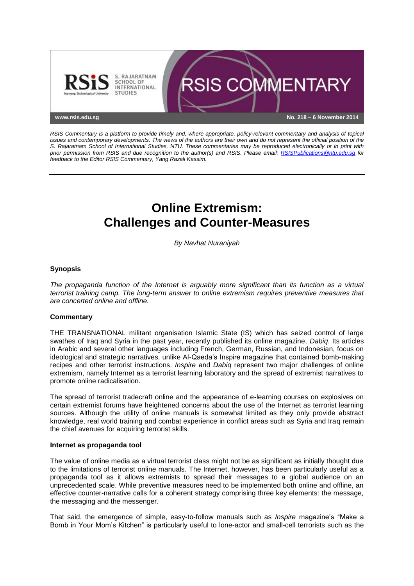

*RSIS Commentary is a platform to provide timely and, where appropriate, policy-relevant commentary and analysis of topical issues and contemporary developments. The views of the authors are their own and do not represent the official position of the S. Rajaratnam School of International Studies, NTU. These commentaries may be reproduced electronically or in print with prior permission from RSIS and due recognition to the author(s) and RSIS. Please email: [RSISPublications@ntu.edu.sg](mailto:RSISPublications@ntu.edu.sg) for feedback to the Editor RSIS Commentary, Yang Razali Kassim.*

# **Online Extremism: Challenges and Counter-Measures**

*By Navhat Nuraniyah*

## **Synopsis**

*The propaganda function of the Internet is arguably more significant than its function as a virtual terrorist training camp. The long-term answer to online extremism requires preventive measures that are concerted online and offline.*

#### **Commentary**

THE TRANSNATIONAL militant organisation Islamic State (IS) which has seized control of large swathes of Iraq and Syria in the past year, recently published its online magazine, *Dabiq*. Its articles in Arabic and several other languages including French, German, Russian, and Indonesian, focus on ideological and strategic narratives, unlike Al-Qaeda's Inspire magazine that contained bomb-making recipes and other terrorist instructions. *Inspire* and *Dabiq* represent two major challenges of online extremism, namely Internet as a terrorist learning laboratory and the spread of extremist narratives to promote online radicalisation.

The spread of terrorist tradecraft online and the appearance of e-learning courses on explosives on certain extremist forums have heightened concerns about the use of the Internet as terrorist learning sources. Although the utility of online manuals is somewhat limited as they only provide abstract knowledge, real world training and combat experience in conflict areas such as Syria and Iraq remain the chief avenues for acquiring terrorist skills.

#### **Internet as propaganda tool**

The value of online media as a virtual terrorist class might not be as significant as initially thought due to the limitations of terrorist online manuals. The Internet, however, has been particularly useful as a propaganda tool as it allows extremists to spread their messages to a global audience on an unprecedented scale. While preventive measures need to be implemented both online and offline, an effective counter-narrative calls for a coherent strategy comprising three key elements: the message, the messaging and the messenger.

That said, the emergence of simple, easy-to-follow manuals such as *Inspire* magazine's "Make a Bomb in Your Mom's Kitchen" is particularly useful to lone-actor and small-cell terrorists such as the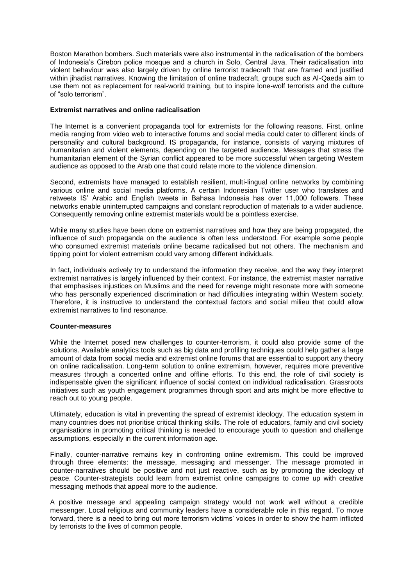Boston Marathon bombers. Such materials were also instrumental in the radicalisation of the bombers of Indonesia's Cirebon police mosque and a church in Solo, Central Java. Their radicalisation into violent behaviour was also largely driven by online terrorist tradecraft that are framed and justified within jihadist narratives. Knowing the limitation of online tradecraft, groups such as Al-Qaeda aim to use them not as replacement for real-world training, but to inspire lone-wolf terrorists and the culture of "solo terrorism".

### **Extremist narratives and online radicalisation**

The Internet is a convenient propaganda tool for extremists for the following reasons. First, online media ranging from video web to interactive forums and social media could cater to different kinds of personality and cultural background. IS propaganda, for instance, consists of varying mixtures of humanitarian and violent elements, depending on the targeted audience. Messages that stress the humanitarian element of the Syrian conflict appeared to be more successful when targeting Western audience as opposed to the Arab one that could relate more to the violence dimension.

Second, extremists have managed to establish resilient, multi-lingual online networks by combining various online and social media platforms. A certain Indonesian Twitter user who translates and retweets IS' Arabic and English tweets in Bahasa Indonesia has over 11,000 followers. These networks enable uninterrupted campaigns and constant reproduction of materials to a wider audience. Consequently removing online extremist materials would be a pointless exercise.

While many studies have been done on extremist narratives and how they are being propagated, the influence of such propaganda on the audience is often less understood. For example some people who consumed extremist materials online became radicalised but not others. The mechanism and tipping point for violent extremism could vary among different individuals.

In fact, individuals actively try to understand the information they receive, and the way they interpret extremist narratives is largely influenced by their context. For instance, the extremist master narrative that emphasises injustices on Muslims and the need for revenge might resonate more with someone who has personally experienced discrimination or had difficulties integrating within Western society. Therefore, it is instructive to understand the contextual factors and social milieu that could allow extremist narratives to find resonance.

#### **Counter-measures**

While the Internet posed new challenges to counter-terrorism, it could also provide some of the solutions. Available analytics tools such as big data and profiling techniques could help gather a large amount of data from social media and extremist online forums that are essential to support any theory on online radicalisation. Long-term solution to online extremism, however, requires more preventive measures through a concerted online and offline efforts. To this end, the role of civil society is indispensable given the significant influence of social context on individual radicalisation. Grassroots initiatives such as youth engagement programmes through sport and arts might be more effective to reach out to young people.

Ultimately, education is vital in preventing the spread of extremist ideology. The education system in many countries does not prioritise critical thinking skills. The role of educators, family and civil society organisations in promoting critical thinking is needed to encourage youth to question and challenge assumptions, especially in the current information age.

Finally, counter-narrative remains key in confronting online extremism. This could be improved through three elements: the message, messaging and messenger. The message promoted in counter-narratives should be positive and not just reactive, such as by promoting the ideology of peace. Counter-strategists could learn from extremist online campaigns to come up with creative messaging methods that appeal more to the audience.

A positive message and appealing campaign strategy would not work well without a credible messenger. Local religious and community leaders have a considerable role in this regard. To move forward, there is a need to bring out more terrorism victims' voices in order to show the harm inflicted by terrorists to the lives of common people.